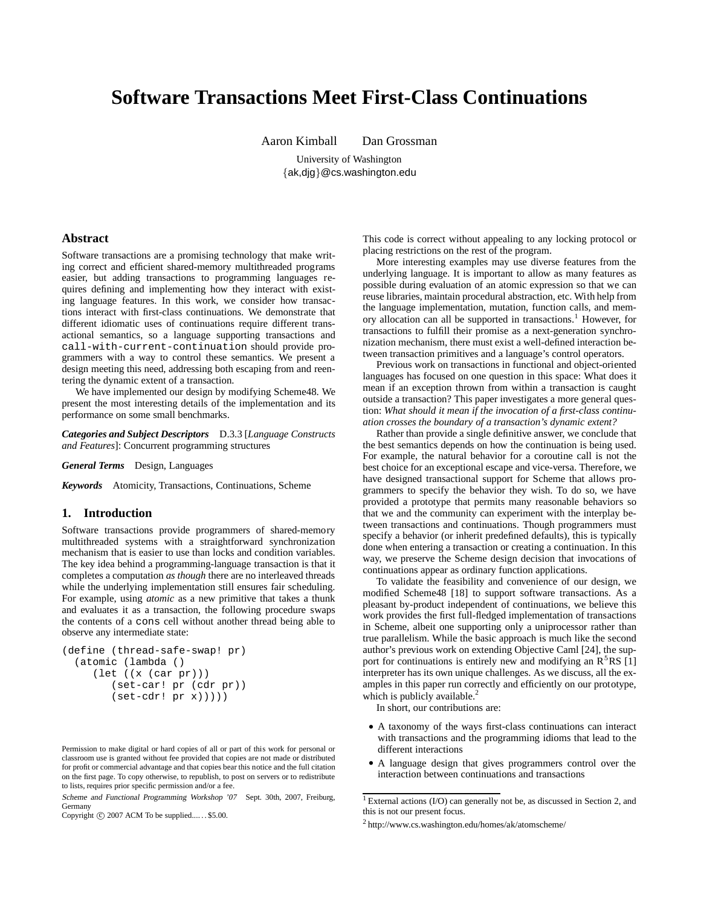# **Software Transactions Meet First-Class Continuations**

Aaron Kimball Dan Grossman

University of Washington

{ak,djg}@cs.washington.edu

# **Abstract**

Software transactions are a promising technology that make writing correct and efficient shared-memory multithreaded programs easier, but adding transactions to programming languages requires defining and implementing how they interact with existing language features. In this work, we consider how transactions interact with first-class continuations. We demonstrate that different idiomatic uses of continuations require different transactional semantics, so a language supporting transactions and call-with-current-continuation should provide programmers with a way to control these semantics. We present a design meeting this need, addressing both escaping from and reentering the dynamic extent of a transaction.

We have implemented our design by modifying Scheme48. We present the most interesting details of the implementation and its performance on some small benchmarks.

*Categories and Subject Descriptors* D.3.3 [*Language Constructs and Features*]: Concurrent programming structures

*General Terms* Design, Languages

*Keywords* Atomicity, Transactions, Continuations, Scheme

# **1. Introduction**

Software transactions provide programmers of shared-memory multithreaded systems with a straightforward synchronization mechanism that is easier to use than locks and condition variables. The key idea behind a programming-language transaction is that it completes a computation *as though* there are no interleaved threads while the underlying implementation still ensures fair scheduling. For example, using *atomic* as a new primitive that takes a thunk and evaluates it as a transaction, the following procedure swaps the contents of a cons cell without another thread being able to observe any intermediate state:

```
(define (thread-safe-swap! pr)
  (atomic (lambda ()
     (\text{let } ((x (car pr)))(set-car! pr (cdr pr))
        (set-cdr! pr x))))
```
Permission to make digital or hard copies of all or part of this work for personal or classroom use is granted without fee provided that copies are not made or distributed for profit or commercial advantage and that copies bear this notice and the full citation on the first page. To copy otherwise, to republish, to post on servers or to redistribute to lists, requires prior specific permission and/or a fee.

Scheme and Functional Programming Workshop '07 Sept. 30th, 2007, Freiburg, Germany

Copyright  $\odot$  2007 ACM To be supplied.... . \$5.00.

This code is correct without appealing to any locking protocol or placing restrictions on the rest of the program.

More interesting examples may use diverse features from the underlying language. It is important to allow as many features as possible during evaluation of an atomic expression so that we can reuse libraries, maintain procedural abstraction, etc. With help from the language implementation, mutation, function calls, and memory allocation can all be supported in transactions.<sup>1</sup> However, for transactions to fulfill their promise as a next-generation synchronization mechanism, there must exist a well-defined interaction between transaction primitives and a language's control operators.

Previous work on transactions in functional and object-oriented languages has focused on one question in this space: What does it mean if an exception thrown from within a transaction is caught outside a transaction? This paper investigates a more general question: *What should it mean if the invocation of a first-class continuation crosses the boundary of a transaction's dynamic extent?*

Rather than provide a single definitive answer, we conclude that the best semantics depends on how the continuation is being used. For example, the natural behavior for a coroutine call is not the best choice for an exceptional escape and vice-versa. Therefore, we have designed transactional support for Scheme that allows programmers to specify the behavior they wish. To do so, we have provided a prototype that permits many reasonable behaviors so that we and the community can experiment with the interplay between transactions and continuations. Though programmers must specify a behavior (or inherit predefined defaults), this is typically done when entering a transaction or creating a continuation. In this way, we preserve the Scheme design decision that invocations of continuations appear as ordinary function applications.

To validate the feasibility and convenience of our design, we modified Scheme48 [18] to support software transactions. As a pleasant by-product independent of continuations, we believe this work provides the first full-fledged implementation of transactions in Scheme, albeit one supporting only a uniprocessor rather than true parallelism. While the basic approach is much like the second author's previous work on extending Objective Caml [24], the support for continuations is entirely new and modifying an  $R<sup>5</sup>RS$  [1] interpreter has its own unique challenges. As we discuss, all the examples in this paper run correctly and efficiently on our prototype, which is publicly available. $<sup>2</sup>$ </sup>

In short, our contributions are:

- A taxonomy of the ways first-class continuations can interact with transactions and the programming idioms that lead to the different interactions
- A language design that gives programmers control over the interaction between continuations and transactions

<sup>&</sup>lt;sup>1</sup> External actions (I/O) can generally not be, as discussed in Section 2, and this is not our present focus.

<sup>2</sup> http://www.cs.washington.edu/homes/ak/atomscheme/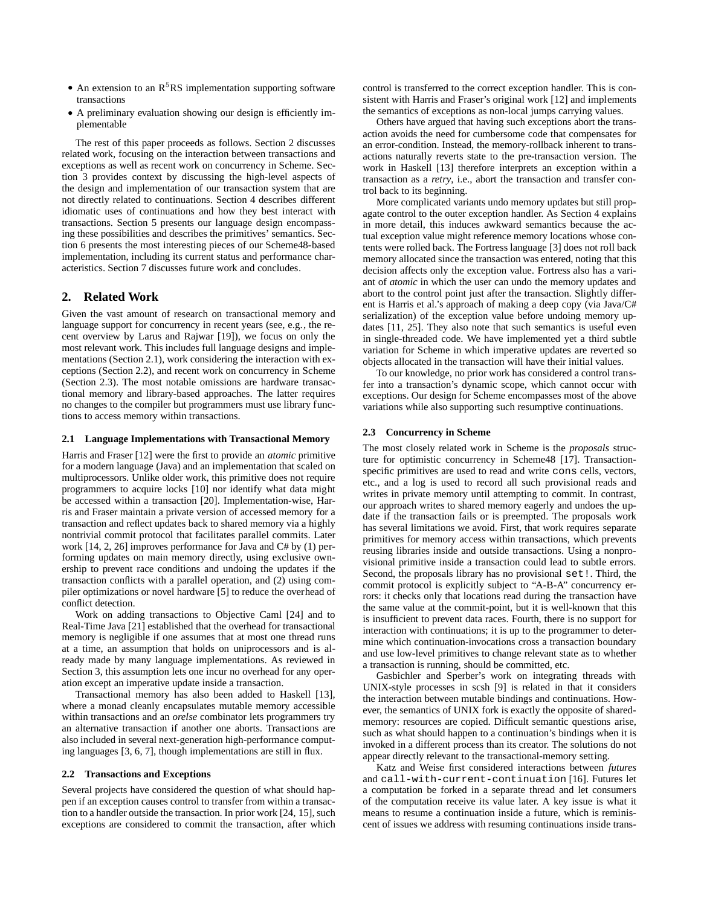- An extension to an  $R<sup>5</sup>RS$  implementation supporting software transactions
- A preliminary evaluation showing our design is efficiently implementable

The rest of this paper proceeds as follows. Section 2 discusses related work, focusing on the interaction between transactions and exceptions as well as recent work on concurrency in Scheme. Section 3 provides context by discussing the high-level aspects of the design and implementation of our transaction system that are not directly related to continuations. Section 4 describes different idiomatic uses of continuations and how they best interact with transactions. Section 5 presents our language design encompassing these possibilities and describes the primitives' semantics. Section 6 presents the most interesting pieces of our Scheme48-based implementation, including its current status and performance characteristics. Section 7 discusses future work and concludes.

# **2. Related Work**

Given the vast amount of research on transactional memory and language support for concurrency in recent years (see, e.g., the recent overview by Larus and Rajwar [19]), we focus on only the most relevant work. This includes full language designs and implementations (Section 2.1), work considering the interaction with exceptions (Section 2.2), and recent work on concurrency in Scheme (Section 2.3). The most notable omissions are hardware transactional memory and library-based approaches. The latter requires no changes to the compiler but programmers must use library functions to access memory within transactions.

#### **2.1 Language Implementations with Transactional Memory**

Harris and Fraser [12] were the first to provide an *atomic* primitive for a modern language (Java) and an implementation that scaled on multiprocessors. Unlike older work, this primitive does not require programmers to acquire locks [10] nor identify what data might be accessed within a transaction [20]. Implementation-wise, Harris and Fraser maintain a private version of accessed memory for a transaction and reflect updates back to shared memory via a highly nontrivial commit protocol that facilitates parallel commits. Later work [14, 2, 26] improves performance for Java and C# by (1) performing updates on main memory directly, using exclusive ownership to prevent race conditions and undoing the updates if the transaction conflicts with a parallel operation, and (2) using compiler optimizations or novel hardware [5] to reduce the overhead of conflict detection.

Work on adding transactions to Objective Caml [24] and to Real-Time Java [21] established that the overhead for transactional memory is negligible if one assumes that at most one thread runs at a time, an assumption that holds on uniprocessors and is already made by many language implementations. As reviewed in Section 3, this assumption lets one incur no overhead for any operation except an imperative update inside a transaction.

Transactional memory has also been added to Haskell [13], where a monad cleanly encapsulates mutable memory accessible within transactions and an *orelse* combinator lets programmers try an alternative transaction if another one aborts. Transactions are also included in several next-generation high-performance computing languages [3, 6, 7], though implementations are still in flux.

#### **2.2 Transactions and Exceptions**

Several projects have considered the question of what should happen if an exception causes control to transfer from within a transaction to a handler outside the transaction. In prior work [24, 15], such exceptions are considered to commit the transaction, after which control is transferred to the correct exception handler. This is consistent with Harris and Fraser's original work [12] and implements the semantics of exceptions as non-local jumps carrying values.

Others have argued that having such exceptions abort the transaction avoids the need for cumbersome code that compensates for an error-condition. Instead, the memory-rollback inherent to transactions naturally reverts state to the pre-transaction version. The work in Haskell [13] therefore interprets an exception within a transaction as a *retry*, i.e., abort the transaction and transfer control back to its beginning.

More complicated variants undo memory updates but still propagate control to the outer exception handler. As Section 4 explains in more detail, this induces awkward semantics because the actual exception value might reference memory locations whose contents were rolled back. The Fortress language [3] does not roll back memory allocated since the transaction was entered, noting that this decision affects only the exception value. Fortress also has a variant of *atomic* in which the user can undo the memory updates and abort to the control point just after the transaction. Slightly different is Harris et al.'s approach of making a deep copy (via Java/C# serialization) of the exception value before undoing memory updates [11, 25]. They also note that such semantics is useful even in single-threaded code. We have implemented yet a third subtle variation for Scheme in which imperative updates are reverted so objects allocated in the transaction will have their initial values.

To our knowledge, no prior work has considered a control transfer into a transaction's dynamic scope, which cannot occur with exceptions. Our design for Scheme encompasses most of the above variations while also supporting such resumptive continuations.

# **2.3 Concurrency in Scheme**

The most closely related work in Scheme is the *proposals* structure for optimistic concurrency in Scheme48 [17]. Transactionspecific primitives are used to read and write cons cells, vectors, etc., and a log is used to record all such provisional reads and writes in private memory until attempting to commit. In contrast, our approach writes to shared memory eagerly and undoes the update if the transaction fails or is preempted. The proposals work has several limitations we avoid. First, that work requires separate primitives for memory access within transactions, which prevents reusing libraries inside and outside transactions. Using a nonprovisional primitive inside a transaction could lead to subtle errors. Second, the proposals library has no provisional set!. Third, the commit protocol is explicitly subject to "A-B-A" concurrency errors: it checks only that locations read during the transaction have the same value at the commit-point, but it is well-known that this is insufficient to prevent data races. Fourth, there is no support for interaction with continuations; it is up to the programmer to determine which continuation-invocations cross a transaction boundary and use low-level primitives to change relevant state as to whether a transaction is running, should be committed, etc.

Gasbichler and Sperber's work on integrating threads with UNIX-style processes in scsh [9] is related in that it considers the interaction between mutable bindings and continuations. However, the semantics of UNIX fork is exactly the opposite of sharedmemory: resources are copied. Difficult semantic questions arise, such as what should happen to a continuation's bindings when it is invoked in a different process than its creator. The solutions do not appear directly relevant to the transactional-memory setting.

Katz and Weise first considered interactions between *futures* and call-with-current-continuation [16]. Futures let a computation be forked in a separate thread and let consumers of the computation receive its value later. A key issue is what it means to resume a continuation inside a future, which is reminiscent of issues we address with resuming continuations inside trans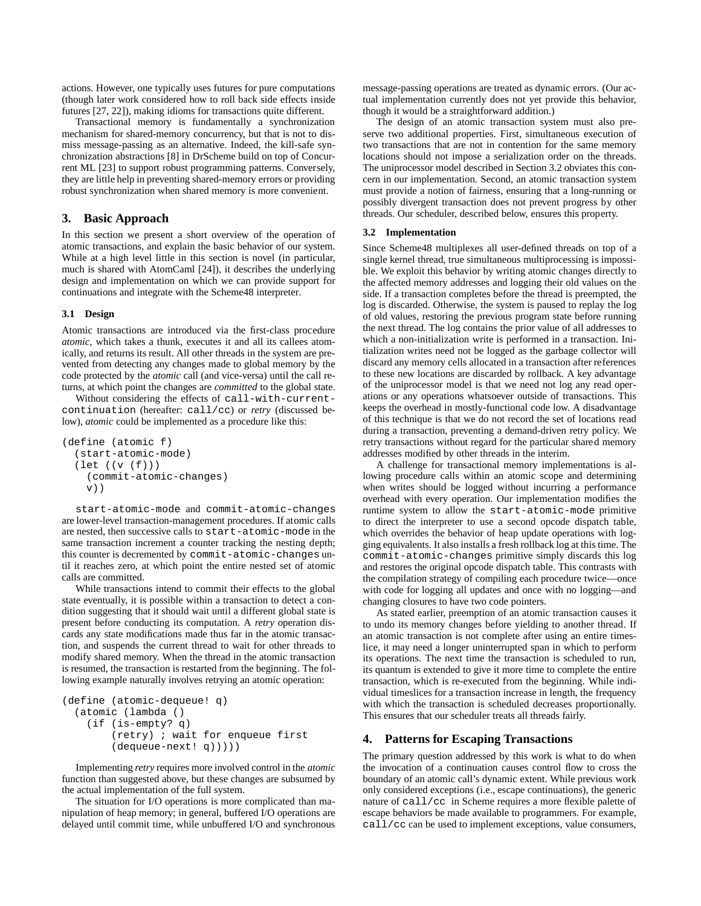actions. However, one typically uses futures for pure computations (though later work considered how to roll back side effects inside futures [27, 22]), making idioms for transactions quite different.

Transactional memory is fundamentally a synchronization mechanism for shared-memory concurrency, but that is not to dismiss message-passing as an alternative. Indeed, the kill-safe synchronization abstractions [8] in DrScheme build on top of Concurrent ML [23] to support robust programming patterns. Conversely, they are little help in preventing shared-memory errors or providing robust synchronization when shared memory is more convenient.

# **3. Basic Approach**

In this section we present a short overview of the operation of atomic transactions, and explain the basic behavior of our system. While at a high level little in this section is novel (in particular, much is shared with AtomCaml [24]), it describes the underlying design and implementation on which we can provide support for continuations and integrate with the Scheme48 interpreter.

## **3.1 Design**

Atomic transactions are introduced via the first-class procedure *atomic*, which takes a thunk, executes it and all its callees atomically, and returns its result. All other threads in the system are prevented from detecting any changes made to global memory by the code protected by the *atomic* call (and vice-versa) until the call returns, at which point the changes are *committed* to the global state.

Without considering the effects of call-with-currentcontinuation (hereafter: call/cc) or *retry* (discussed below), *atomic* could be implemented as a procedure like this:

```
(define (atomic f)
  (start-atomic-mode)
  (let ((v (f)))
    (commit-atomic-changes)
    v))
```
start-atomic-mode and commit-atomic-changes are lower-level transaction-management procedures. If atomic calls are nested, then successive calls to start-atomic-mode in the same transaction increment a counter tracking the nesting depth; this counter is decremented by commit-atomic-changes until it reaches zero, at which point the entire nested set of atomic calls are committed.

While transactions intend to commit their effects to the global state eventually, it is possible within a transaction to detect a condition suggesting that it should wait until a different global state is present before conducting its computation. A *retry* operation discards any state modifications made thus far in the atomic transaction, and suspends the current thread to wait for other threads to modify shared memory. When the thread in the atomic transaction is resumed, the transaction is restarted from the beginning. The following example naturally involves retrying an atomic operation:

```
(define (atomic-dequeue! q)
  (atomic (lambda ()
   (if (is-empty? q)
        (retry) ; wait for enqueue first
        (dequeue-next! q)))))
```
Implementing *retry* requires more involved control in the *atomic* function than suggested above, but these changes are subsumed by the actual implementation of the full system.

The situation for I/O operations is more complicated than manipulation of heap memory; in general, buffered I/O operations are delayed until commit time, while unbuffered I/O and synchronous message-passing operations are treated as dynamic errors. (Our actual implementation currently does not yet provide this behavior, though it would be a straightforward addition.)

The design of an atomic transaction system must also preserve two additional properties. First, simultaneous execution of two transactions that are not in contention for the same memory locations should not impose a serialization order on the threads. The uniprocessor model described in Section 3.2 obviates this concern in our implementation. Second, an atomic transaction system must provide a notion of fairness, ensuring that a long-running or possibly divergent transaction does not prevent progress by other threads. Our scheduler, described below, ensures this property.

### **3.2 Implementation**

Since Scheme48 multiplexes all user-defined threads on top of a single kernel thread, true simultaneous multiprocessing is impossible. We exploit this behavior by writing atomic changes directly to the affected memory addresses and logging their old values on the side. If a transaction completes before the thread is preempted, the log is discarded. Otherwise, the system is paused to replay the log of old values, restoring the previous program state before running the next thread. The log contains the prior value of all addresses to which a non-initialization write is performed in a transaction. Initialization writes need not be logged as the garbage collector will discard any memory cells allocated in a transaction after references to these new locations are discarded by rollback. A key advantage of the uniprocessor model is that we need not log any read operations or any operations whatsoever outside of transactions. This keeps the overhead in mostly-functional code low. A disadvantage of this technique is that we do not record the set of locations read during a transaction, preventing a demand-driven retry policy. We retry transactions without regard for the particular shared memory addresses modified by other threads in the interim.

A challenge for transactional memory implementations is allowing procedure calls within an atomic scope and determining when writes should be logged without incurring a performance overhead with every operation. Our implementation modifies the runtime system to allow the start-atomic-mode primitive to direct the interpreter to use a second opcode dispatch table, which overrides the behavior of heap update operations with logging equivalents. It also installs a fresh rollback log at this time. The commit-atomic-changes primitive simply discards this log and restores the original opcode dispatch table. This contrasts with the compilation strategy of compiling each procedure twice—once with code for logging all updates and once with no logging—and changing closures to have two code pointers.

As stated earlier, preemption of an atomic transaction causes it to undo its memory changes before yielding to another thread. If an atomic transaction is not complete after using an entire timeslice, it may need a longer uninterrupted span in which to perform its operations. The next time the transaction is scheduled to run, its quantum is extended to give it more time to complete the entire transaction, which is re-executed from the beginning. While individual timeslices for a transaction increase in length, the frequency with which the transaction is scheduled decreases proportionally. This ensures that our scheduler treats all threads fairly.

#### **4. Patterns for Escaping Transactions**

The primary question addressed by this work is what to do when the invocation of a continuation causes control flow to cross the boundary of an atomic call's dynamic extent. While previous work only considered exceptions (i.e., escape continuations), the generic nature of call/cc in Scheme requires a more flexible palette of escape behaviors be made available to programmers. For example, call/cc can be used to implement exceptions, value consumers,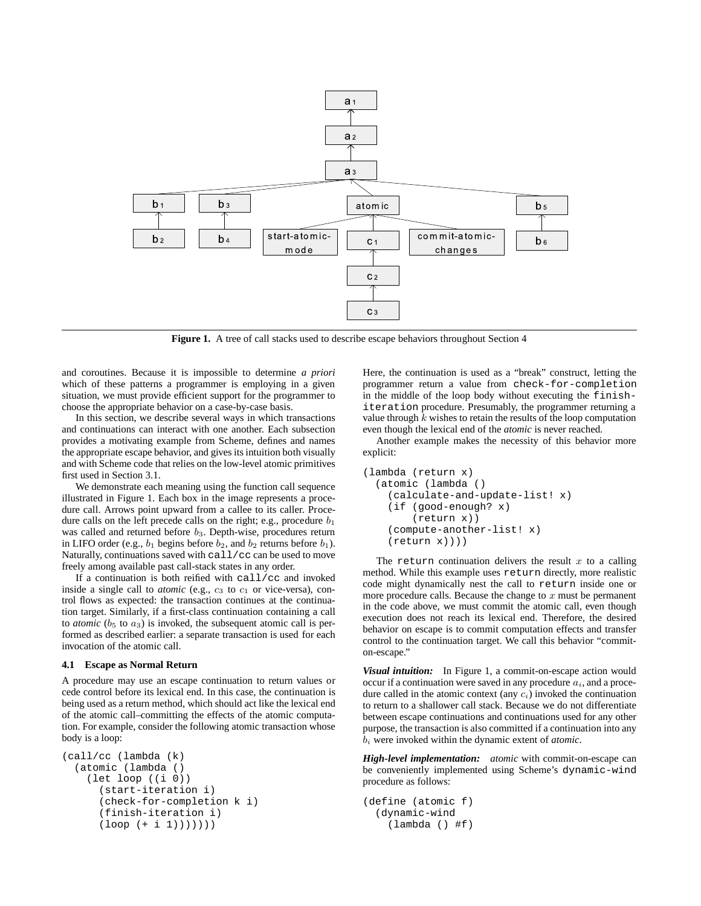

**Figure 1.** A tree of call stacks used to describe escape behaviors throughout Section 4

and coroutines. Because it is impossible to determine *a priori* which of these patterns a programmer is employing in a given situation, we must provide efficient support for the programmer to choose the appropriate behavior on a case-by-case basis.

In this section, we describe several ways in which transactions and continuations can interact with one another. Each subsection provides a motivating example from Scheme, defines and names the appropriate escape behavior, and gives its intuition both visually and with Scheme code that relies on the low-level atomic primitives first used in Section 3.1.

We demonstrate each meaning using the function call sequence illustrated in Figure 1. Each box in the image represents a procedure call. Arrows point upward from a callee to its caller. Procedure calls on the left precede calls on the right; e.g., procedure  $b_1$ was called and returned before  $b_3$ . Depth-wise, procedures return in LIFO order (e.g.,  $b_1$  begins before  $b_2$ , and  $b_2$  returns before  $b_1$ ). Naturally, continuations saved with call/cc can be used to move freely among available past call-stack states in any order.

If a continuation is both reified with call/cc and invoked inside a single call to  $atomic$  (e.g.,  $c_3$  to  $c_1$  or vice-versa), control flows as expected: the transaction continues at the continuation target. Similarly, if a first-class continuation containing a call to *atomic* ( $b_5$  to  $a_3$ ) is invoked, the subsequent atomic call is performed as described earlier: a separate transaction is used for each invocation of the atomic call.

## **4.1 Escape as Normal Return**

A procedure may use an escape continuation to return values or cede control before its lexical end. In this case, the continuation is being used as a return method, which should act like the lexical end of the atomic call–committing the effects of the atomic computation. For example, consider the following atomic transaction whose body is a loop:

```
(call/cc (lambda (k)
  (atomic (lambda ()
    (let loop ((i 0))
      (start-iteration i)
      (check-for-completion k i)
      (finish-iteration i)
      (logo p (+ i 1))))))
```
Here, the continuation is used as a "break" construct, letting the programmer return a value from check-for-completion in the middle of the loop body without executing the finishiteration procedure. Presumably, the programmer returning a value through  $k$  wishes to retain the results of the loop computation even though the lexical end of the *atomic* is never reached.

Another example makes the necessity of this behavior more explicit:

```
(lambda (return x)
 (atomic (lambda ()
    (calculate-and-update-list! x)
    (if (good-enough? x)
        (return x))
    (compute-another-list! x)
    (return x))))
```
The return continuation delivers the result  $x$  to a calling method. While this example uses return directly, more realistic code might dynamically nest the call to return inside one or more procedure calls. Because the change to  $x$  must be permanent in the code above, we must commit the atomic call, even though execution does not reach its lexical end. Therefore, the desired behavior on escape is to commit computation effects and transfer control to the continuation target. We call this behavior "commiton-escape."

*Visual intuition:* In Figure 1, a commit-on-escape action would occur if a continuation were saved in any procedure  $a_i$ , and a procedure called in the atomic context (any  $c_i$ ) invoked the continuation to return to a shallower call stack. Because we do not differentiate between escape continuations and continuations used for any other purpose, the transaction is also committed if a continuation into any b<sup>i</sup> were invoked within the dynamic extent of *atomic*.

*High-level implementation: atomic* with commit-on-escape can be conveniently implemented using Scheme's dynamic-wind procedure as follows:

```
(define (atomic f)
  (dynamic-wind
    (lambda () #f)
```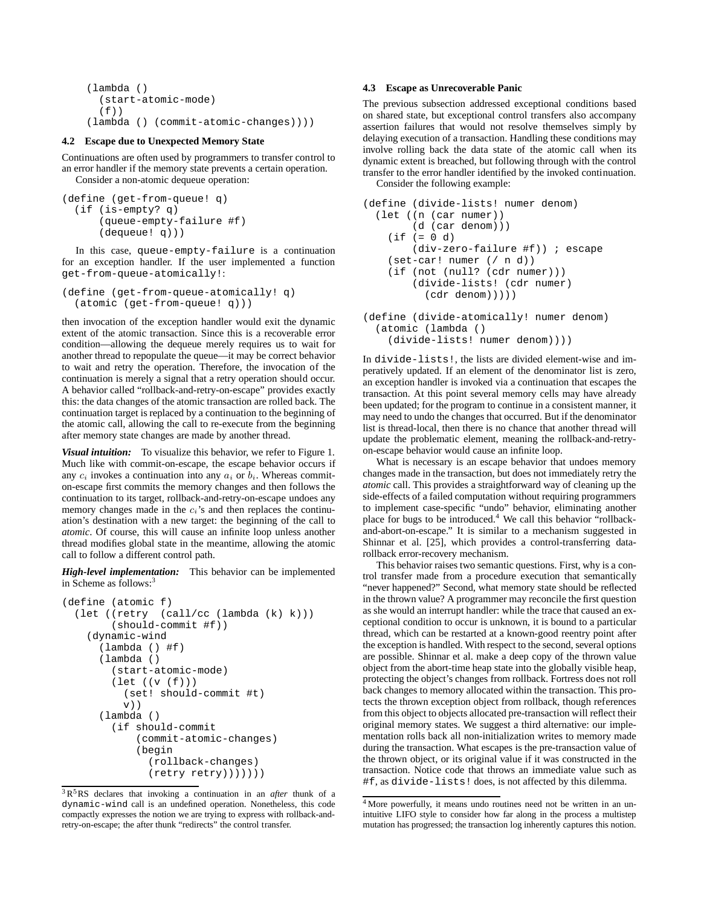```
(lambda ()
  (start-atomic-mode)
  (f))
(lambda () (commit-atomic-changes))))
```
#### **4.2 Escape due to Unexpected Memory State**

Continuations are often used by programmers to transfer control to an error handler if the memory state prevents a certain operation. Consider a non-atomic dequeue operation:

```
(define (get-from-queue! q)
  (if (is-empty? q)
      (queue-empty-failure #f)
      (dequeue! q)))
```
In this case, queue-empty-failure is a continuation for an exception handler. If the user implemented a function get-from-queue-atomically!:

```
(define (get-from-queue-atomically! q)
  (atomic (get-from-queue! q)))
```
then invocation of the exception handler would exit the dynamic extent of the atomic transaction. Since this is a recoverable error condition—allowing the dequeue merely requires us to wait for another thread to repopulate the queue—it may be correct behavior to wait and retry the operation. Therefore, the invocation of the continuation is merely a signal that a retry operation should occur. A behavior called "rollback-and-retry-on-escape" provides exactly this: the data changes of the atomic transaction are rolled back. The continuation target is replaced by a continuation to the beginning of the atomic call, allowing the call to re-execute from the beginning after memory state changes are made by another thread.

*Visual intuition:* To visualize this behavior, we refer to Figure 1. Much like with commit-on-escape, the escape behavior occurs if any  $c_i$  invokes a continuation into any  $a_i$  or  $b_i$ . Whereas commiton-escape first commits the memory changes and then follows the continuation to its target, rollback-and-retry-on-escape undoes any memory changes made in the  $c_i$ 's and then replaces the continuation's destination with a new target: the beginning of the call to *atomic*. Of course, this will cause an infinite loop unless another thread modifies global state in the meantime, allowing the atomic call to follow a different control path.

*High-level implementation:* This behavior can be implemented in Scheme as follows: $3$ 

```
(define (atomic f)
  (let ((retry (call/cc (lambda (k) k)))
        (should-commit #f))
    (dynamic-wind
      (lambda () #f)
      (lambda ()
        (start-atomic-mode)
        (let ((v (f)))
          (set! should-commit #t)
          \mathbf{v}))
      (lambda ()
        (if should-commit
            (commit-atomic-changes)
            (begin
               (rollback-changes)
               (retry return))))))
```
## **4.3 Escape as Unrecoverable Panic**

The previous subsection addressed exceptional conditions based on shared state, but exceptional control transfers also accompany assertion failures that would not resolve themselves simply by delaying execution of a transaction. Handling these conditions may involve rolling back the data state of the atomic call when its dynamic extent is breached, but following through with the control transfer to the error handler identified by the invoked continuation. Consider the following example:

```
(define (divide-lists! numer denom)
  (let ((n (car numer))
        (d (car denom)))
    (it f (= 0 d)(div-zero-failure #f)) ; escape
    (set-car! numer (/ n d))
    (if (not (null? (cdr numer)))
        (divide-lists! (cdr numer)
          (cdr denom)))))
```
(define (divide-atomically! numer denom) (atomic (lambda () (divide-lists! numer denom))))

In divide-lists!, the lists are divided element-wise and imperatively updated. If an element of the denominator list is zero, an exception handler is invoked via a continuation that escapes the transaction. At this point several memory cells may have already been updated; for the program to continue in a consistent manner, it may need to undo the changes that occurred. But if the denominator list is thread-local, then there is no chance that another thread will update the problematic element, meaning the rollback-and-retryon-escape behavior would cause an infinite loop.

What is necessary is an escape behavior that undoes memory changes made in the transaction, but does not immediately retry the *atomic* call. This provides a straightforward way of cleaning up the side-effects of a failed computation without requiring programmers to implement case-specific "undo" behavior, eliminating another place for bugs to be introduced.<sup>4</sup> We call this behavior "rollbackand-abort-on-escape." It is similar to a mechanism suggested in Shinnar et al. [25], which provides a control-transferring datarollback error-recovery mechanism.

This behavior raises two semantic questions. First, why is a control transfer made from a procedure execution that semantically "never happened?" Second, what memory state should be reflected in the thrown value? A programmer may reconcile the first question as she would an interrupt handler: while the trace that caused an exceptional condition to occur is unknown, it is bound to a particular thread, which can be restarted at a known-good reentry point after the exception is handled. With respect to the second, several options are possible. Shinnar et al. make a deep copy of the thrown value object from the abort-time heap state into the globally visible heap, protecting the object's changes from rollback. Fortress does not roll back changes to memory allocated within the transaction. This protects the thrown exception object from rollback, though references from this object to objects allocated pre-transaction will reflect their original memory states. We suggest a third alternative: our implementation rolls back all non-initialization writes to memory made during the transaction. What escapes is the pre-transaction value of the thrown object, or its original value if it was constructed in the transaction. Notice code that throws an immediate value such as #f, as divide-lists! does, is not affected by this dilemma.

<sup>3</sup> R <sup>5</sup>RS declares that invoking a continuation in an *after* thunk of a dynamic-wind call is an undefined operation. Nonetheless, this code compactly expresses the notion we are trying to express with rollback-andretry-on-escape; the after thunk "redirects" the control transfer.

<sup>4</sup> More powerfully, it means undo routines need not be written in an unintuitive LIFO style to consider how far along in the process a multistep mutation has progressed; the transaction log inherently captures this notion.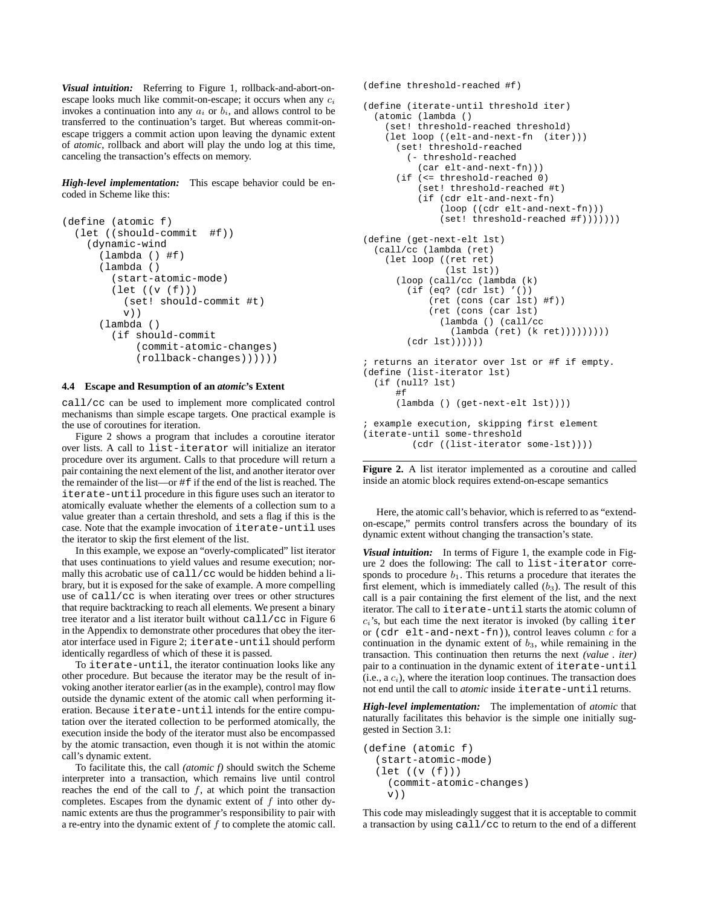*Visual intuition:* Referring to Figure 1, rollback-and-abort-onescape looks much like commit-on-escape; it occurs when any  $c_i$ invokes a continuation into any  $a_i$  or  $b_i$ , and allows control to be transferred to the continuation's target. But whereas commit-onescape triggers a commit action upon leaving the dynamic extent of *atomic*, rollback and abort will play the undo log at this time, canceling the transaction's effects on memory.

*High-level implementation:* This escape behavior could be encoded in Scheme like this:

```
(define (atomic f)
  (let ((should-commit #f))
    (dynamic-wind
      (lambda () #f)
      (lambda ()
        (start-atomic-mode)
        (let ((v (f)))
          (set! should-commit #t)
          v))
      (lambda ()
        (if should-commit
            (commit-atomic-changes)
            (rollback-changes))))))
```
#### **4.4 Escape and Resumption of an** *atomic***'s Extent**

call/cc can be used to implement more complicated control mechanisms than simple escape targets. One practical example is the use of coroutines for iteration.

Figure 2 shows a program that includes a coroutine iterator over lists. A call to list-iterator will initialize an iterator procedure over its argument. Calls to that procedure will return a pair containing the next element of the list, and another iterator over the remainder of the list—or #f if the end of the list is reached. The iterate-until procedure in this figure uses such an iterator to atomically evaluate whether the elements of a collection sum to a value greater than a certain threshold, and sets a flag if this is the case. Note that the example invocation of iterate-until uses the iterator to skip the first element of the list.

In this example, we expose an "overly-complicated" list iterator that uses continuations to yield values and resume execution; normally this acrobatic use of call/cc would be hidden behind a library, but it is exposed for the sake of example. A more compelling use of call/cc is when iterating over trees or other structures that require backtracking to reach all elements. We present a binary tree iterator and a list iterator built without call/cc in Figure 6 in the Appendix to demonstrate other procedures that obey the iterator interface used in Figure 2; iterate-until should perform identically regardless of which of these it is passed.

To iterate-until, the iterator continuation looks like any other procedure. But because the iterator may be the result of invoking another iterator earlier (as in the example), control may flow outside the dynamic extent of the atomic call when performing iteration. Because iterate-until intends for the entire computation over the iterated collection to be performed atomically, the execution inside the body of the iterator must also be encompassed by the atomic transaction, even though it is not within the atomic call's dynamic extent.

To facilitate this, the call *(atomic f)* should switch the Scheme interpreter into a transaction, which remains live until control reaches the end of the call to  $f$ , at which point the transaction completes. Escapes from the dynamic extent of  $f$  into other dynamic extents are thus the programmer's responsibility to pair with a re-entry into the dynamic extent of  $f$  to complete the atomic call.

```
(define threshold-reached #f)
(define (iterate-until threshold iter)
 (atomic (lambda ()
    (set! threshold-reached threshold)
    (let loop ((elt-and-next-fn (iter)))
      (set! threshold-reached
        (- threshold-reached
          (car elt-and-next-fn)))
      (if (<= threshold-reached 0)
          (set! threshold-reached #t)
          (if (cdr elt-and-next-fn)
              (loop ((cdr elt-and-next-fn)))
              (set! threshold-reached #f)))))))
(define (get-next-elt lst)
  (call/cc (lambda (ret)
    (let loop ((ret ret)
               (lst 1st))
      (loop (call/cc (lambda (k)
        (if (eq? (cdr lst) '())
            (ret (cons (car lst) #f))
            (ret (cons (car lst)
              (lambda () (call/cc
                (lambda (ret) (k ret)))))))))
        (cdr \; lst))))); returns an iterator over lst or #f if empty.
(define (list-iterator lst)
  (if (null? lst)
     #f
     (lambda () (get-next-elt lst))))
; example execution, skipping first element
(iterate-until some-threshold
         (cdr ((list-iterator some-lst))))
```
**Figure 2.** A list iterator implemented as a coroutine and called inside an atomic block requires extend-on-escape semantics

Here, the atomic call's behavior, which is referred to as "extendon-escape," permits control transfers across the boundary of its dynamic extent without changing the transaction's state.

*Visual intuition:* In terms of Figure 1, the example code in Figure 2 does the following: The call to list-iterator corresponds to procedure  $b_1$ . This returns a procedure that iterates the first element, which is immediately called  $(b_3)$ . The result of this call is a pair containing the first element of the list, and the next iterator. The call to iterate-until starts the atomic column of  $c_i$ 's, but each time the next iterator is invoked (by calling iter or  $(\text{cdr elt-and-next-fn}$ ), control leaves column  $c$  for a continuation in the dynamic extent of  $b_3$ , while remaining in the transaction. This continuation then returns the next *(value . iter)* pair to a continuation in the dynamic extent of iterate-until  $(i.e., a c<sub>i</sub>)$ , where the iteration loop continues. The transaction does not end until the call to *atomic* inside iterate-until returns.

*High-level implementation:* The implementation of *atomic* that naturally facilitates this behavior is the simple one initially suggested in Section 3.1:

```
(define (atomic f)
  (start-atomic-mode)
  (let ((v (f)))
    (commit-atomic-changes)
    v))
```
This code may misleadingly suggest that it is acceptable to commit a transaction by using call/cc to return to the end of a different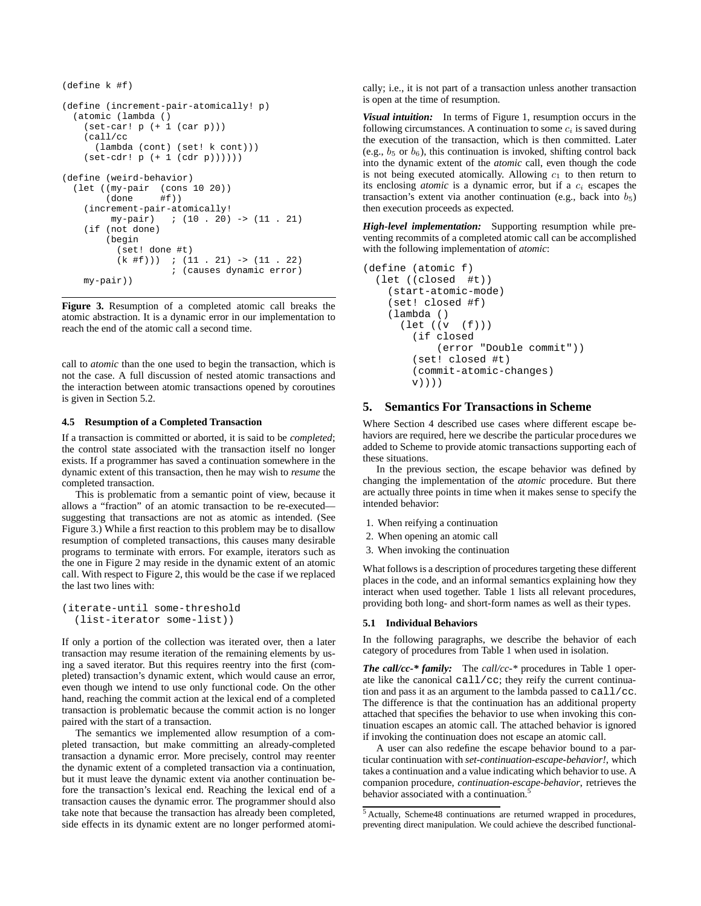```
(define k #f)
(define (increment-pair-atomically! p)
  (atomic (lambda ()
    (set-car! p (+ 1 (car p)))
    (call/cc
      (lambda (cont) (set! k cont)))
    (set-cdr! p (+ 1 (cdr p))))))
(define (weird-behavior)
  (let ((my-pair (cons 10 20))
         (done #f))
    (increment-pair-atomically!<br>my-pair) ; (10 . 20)
                     ; (10 \t . 20) \rightarrow (11 \t . 21)(if (not done)
        (begin
           (set! done #t)
           (k \#f)) ; (11 \cdot 21) -> (11 \cdot 22); (causes dynamic error)
    my-pair))
```
**Figure 3.** Resumption of a completed atomic call breaks the atomic abstraction. It is a dynamic error in our implementation to reach the end of the atomic call a second time.

call to *atomic* than the one used to begin the transaction, which is not the case. A full discussion of nested atomic transactions and the interaction between atomic transactions opened by coroutines is given in Section 5.2.

## **4.5 Resumption of a Completed Transaction**

If a transaction is committed or aborted, it is said to be *completed*; the control state associated with the transaction itself no longer exists. If a programmer has saved a continuation somewhere in the dynamic extent of this transaction, then he may wish to *resume* the completed transaction.

This is problematic from a semantic point of view, because it allows a "fraction" of an atomic transaction to be re-executed suggesting that transactions are not as atomic as intended. (See Figure 3.) While a first reaction to this problem may be to disallow resumption of completed transactions, this causes many desirable programs to terminate with errors. For example, iterators such as the one in Figure 2 may reside in the dynamic extent of an atomic call. With respect to Figure 2, this would be the case if we replaced the last two lines with:

```
(iterate-until some-threshold
  (list-iterator some-list))
```
If only a portion of the collection was iterated over, then a later transaction may resume iteration of the remaining elements by using a saved iterator. But this requires reentry into the first (completed) transaction's dynamic extent, which would cause an error, even though we intend to use only functional code. On the other hand, reaching the commit action at the lexical end of a completed transaction is problematic because the commit action is no longer paired with the start of a transaction.

The semantics we implemented allow resumption of a completed transaction, but make committing an already-completed transaction a dynamic error. More precisely, control may reenter the dynamic extent of a completed transaction via a continuation, but it must leave the dynamic extent via another continuation before the transaction's lexical end. Reaching the lexical end of a transaction causes the dynamic error. The programmer should also take note that because the transaction has already been completed, side effects in its dynamic extent are no longer performed atomically; i.e., it is not part of a transaction unless another transaction is open at the time of resumption.

*Visual intuition:* In terms of Figure 1, resumption occurs in the following circumstances. A continuation to some  $c_i$  is saved during the execution of the transaction, which is then committed. Later (e.g.,  $b_5$  or  $b_6$ ), this continuation is invoked, shifting control back into the dynamic extent of the *atomic* call, even though the code is not being executed atomically. Allowing  $c_1$  to then return to its enclosing *atomic* is a dynamic error, but if a  $c_i$  escapes the transaction's extent via another continuation (e.g., back into  $b_5$ ) then execution proceeds as expected.

*High-level implementation:* Supporting resumption while preventing recommits of a completed atomic call can be accomplished with the following implementation of *atomic*:

```
(define (atomic f)
 (let ((closed #t))
    (start-atomic-mode)
    (set! closed #f)
    (lambda ()
      (let ((v (f)))
        (if closed
            (error "Double commit"))
        (set! closed #t)
        (commit-atomic-changes)
        v))))
```
# **5. Semantics For Transactions in Scheme**

Where Section 4 described use cases where different escape behaviors are required, here we describe the particular procedures we added to Scheme to provide atomic transactions supporting each of these situations.

In the previous section, the escape behavior was defined by changing the implementation of the *atomic* procedure. But there are actually three points in time when it makes sense to specify the intended behavior:

- 1. When reifying a continuation
- 2. When opening an atomic call
- 3. When invoking the continuation

What follows is a description of procedures targeting these different places in the code, and an informal semantics explaining how they interact when used together. Table 1 lists all relevant procedures, providing both long- and short-form names as well as their types.

#### **5.1 Individual Behaviors**

In the following paragraphs, we describe the behavior of each category of procedures from Table 1 when used in isolation.

*The call/cc-\* family:* The *call/cc-\** procedures in Table 1 operate like the canonical call/cc; they reify the current continuation and pass it as an argument to the lambda passed to call/cc. The difference is that the continuation has an additional property attached that specifies the behavior to use when invoking this continuation escapes an atomic call. The attached behavior is ignored if invoking the continuation does not escape an atomic call.

A user can also redefine the escape behavior bound to a particular continuation with *set-continuation-escape-behavior!*, which takes a continuation and a value indicating which behavior to use. A companion procedure, *continuation-escape-behavior*, retrieves the behavior associated with a continuation.<sup>5</sup>

<sup>5</sup> Actually, Scheme48 continuations are returned wrapped in procedures, preventing direct manipulation. We could achieve the described functional-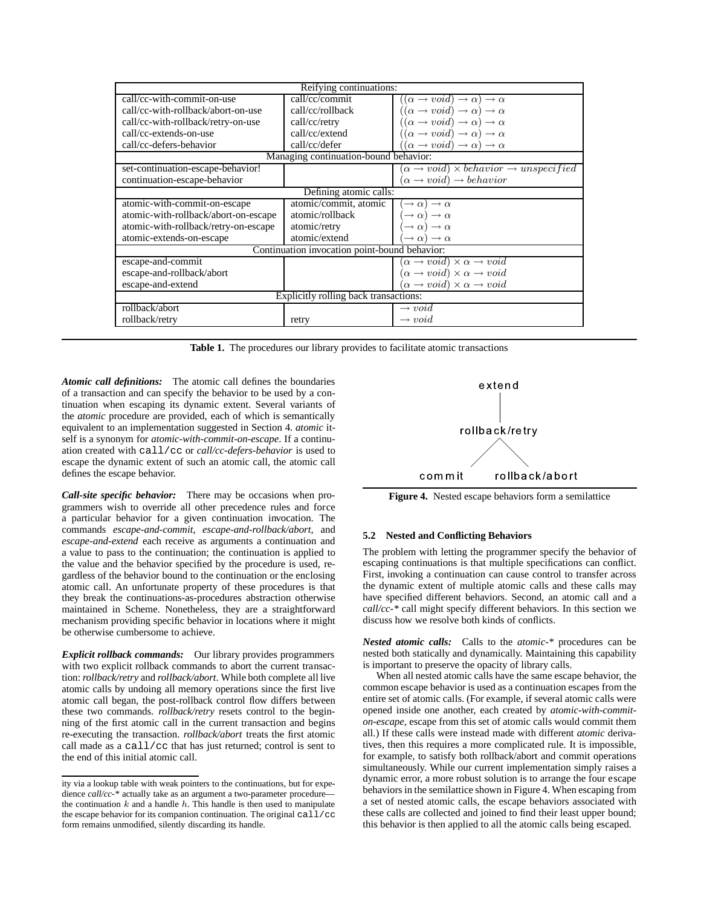| Reifying continuations:                       |                       |                                                                     |  |  |  |
|-----------------------------------------------|-----------------------|---------------------------------------------------------------------|--|--|--|
| call/cc-with-commit-on-use                    | call/cc/commit        | $((\alpha \rightarrow void) \rightarrow \alpha) \rightarrow \alpha$ |  |  |  |
| call/cc-with-rollback/abort-on-use            | call/cc/rollback      | $((\alpha \rightarrow void) \rightarrow \alpha) \rightarrow \alpha$ |  |  |  |
| call/cc-with-rollback/retry-on-use            | call/cc/retry         | $((\alpha \rightarrow void) \rightarrow \alpha) \rightarrow \alpha$ |  |  |  |
| call/cc-extends-on-use                        | call/cc/extend        | $((\alpha \rightarrow void) \rightarrow \alpha) \rightarrow \alpha$ |  |  |  |
| call/cc-defers-behavior                       | call/cc/defer         | $((\alpha \rightarrow void) \rightarrow \alpha) \rightarrow \alpha$ |  |  |  |
| Managing continuation-bound behavior:         |                       |                                                                     |  |  |  |
| set-continuation-escape-behavior!             |                       | $(\alpha \rightarrow void) \times behavior \rightarrow unspecified$ |  |  |  |
| continuation-escape-behavior                  |                       | $(\alpha \rightarrow void) \rightarrow behavior$                    |  |  |  |
| Defining atomic calls:                        |                       |                                                                     |  |  |  |
| atomic-with-commit-on-escape                  | atomic/commit, atomic | $\rightarrow \alpha) \rightarrow \alpha$                            |  |  |  |
| atomic-with-rollback/abort-on-escape          | atomic/rollback       | $\rightarrow \alpha) \rightarrow \alpha$                            |  |  |  |
| atomic-with-rollback/retry-on-escape          | atomic/retry          | $(\rightarrow \alpha) \rightarrow \alpha$                           |  |  |  |
| atomic-extends-on-escape                      | atomic/extend         | $\rightarrow \alpha$ $\rightarrow \alpha$                           |  |  |  |
| Continuation invocation point-bound behavior: |                       |                                                                     |  |  |  |
| escape-and-commit                             |                       | $(\alpha \rightarrow void) \times \alpha \rightarrow void$          |  |  |  |
| escape-and-rollback/abort                     |                       | $(\alpha \rightarrow void) \times \alpha \rightarrow void$          |  |  |  |
| escape-and-extend                             |                       | $(\alpha \rightarrow void) \times \alpha \rightarrow void$          |  |  |  |
| Explicitly rolling back transactions:         |                       |                                                                     |  |  |  |
| rollback/abort                                |                       | $\rightarrow void$                                                  |  |  |  |
| rollback/retry                                | retry                 | $\rightarrow void$                                                  |  |  |  |

Table 1. The procedures our library provides to facilitate atomic transactions

*Atomic call definitions:* The atomic call defines the boundaries of a transaction and can specify the behavior to be used by a continuation when escaping its dynamic extent. Several variants of the *atomic* procedure are provided, each of which is semantically equivalent to an implementation suggested in Section 4. *atomic* itself is a synonym for *atomic-with-commit-on-escape*. If a continuation created with call/cc or *call/cc-defers-behavior* is used to escape the dynamic extent of such an atomic call, the atomic call defines the escape behavior.

*Call-site specific behavior:* There may be occasions when programmers wish to override all other precedence rules and force a particular behavior for a given continuation invocation. The commands *escape-and-commit*, *escape-and-rollback/abort*, and *escape-and-extend* each receive as arguments a continuation and a value to pass to the continuation; the continuation is applied to the value and the behavior specified by the procedure is used, regardless of the behavior bound to the continuation or the enclosing atomic call. An unfortunate property of these procedures is that they break the continuations-as-procedures abstraction otherwise maintained in Scheme. Nonetheless, they are a straightforward mechanism providing specific behavior in locations where it might be otherwise cumbersome to achieve.

*Explicit rollback commands:* Our library provides programmers with two explicit rollback commands to abort the current transaction: *rollback/retry* and *rollback/abort*. While both complete all live atomic calls by undoing all memory operations since the first live atomic call began, the post-rollback control flow differs between these two commands. *rollback/retry* resets control to the beginning of the first atomic call in the current transaction and begins re-executing the transaction. *rollback/abort* treats the first atomic call made as a call/cc that has just returned; control is sent to the end of this initial atomic call.



**Figure 4.** Nested escape behaviors form a semilattice

# **5.2 Nested and Conflicting Behaviors**

The problem with letting the programmer specify the behavior of escaping continuations is that multiple specifications can conflict. First, invoking a continuation can cause control to transfer across the dynamic extent of multiple atomic calls and these calls may have specified different behaviors. Second, an atomic call and a *call/cc-\** call might specify different behaviors. In this section we discuss how we resolve both kinds of conflicts.

*Nested atomic calls:* Calls to the *atomic-\** procedures can be nested both statically and dynamically. Maintaining this capability is important to preserve the opacity of library calls.

When all nested atomic calls have the same escape behavior, the common escape behavior is used as a continuation escapes from the entire set of atomic calls. (For example, if several atomic calls were opened inside one another, each created by *atomic-with-commiton-escape*, escape from this set of atomic calls would commit them all.) If these calls were instead made with different *atomic* derivatives, then this requires a more complicated rule. It is impossible, for example, to satisfy both rollback/abort and commit operations simultaneously. While our current implementation simply raises a dynamic error, a more robust solution is to arrange the four escape behaviors in the semilattice shown in Figure 4. When escaping from a set of nested atomic calls, the escape behaviors associated with these calls are collected and joined to find their least upper bound; this behavior is then applied to all the atomic calls being escaped.

ity via a lookup table with weak pointers to the continuations, but for expedience *call/cc-\** actually take as an argument a two-parameter procedure the continuation  $k$  and a handle  $h$ . This handle is then used to manipulate the escape behavior for its companion continuation. The original call/cc form remains unmodified, silently discarding its handle.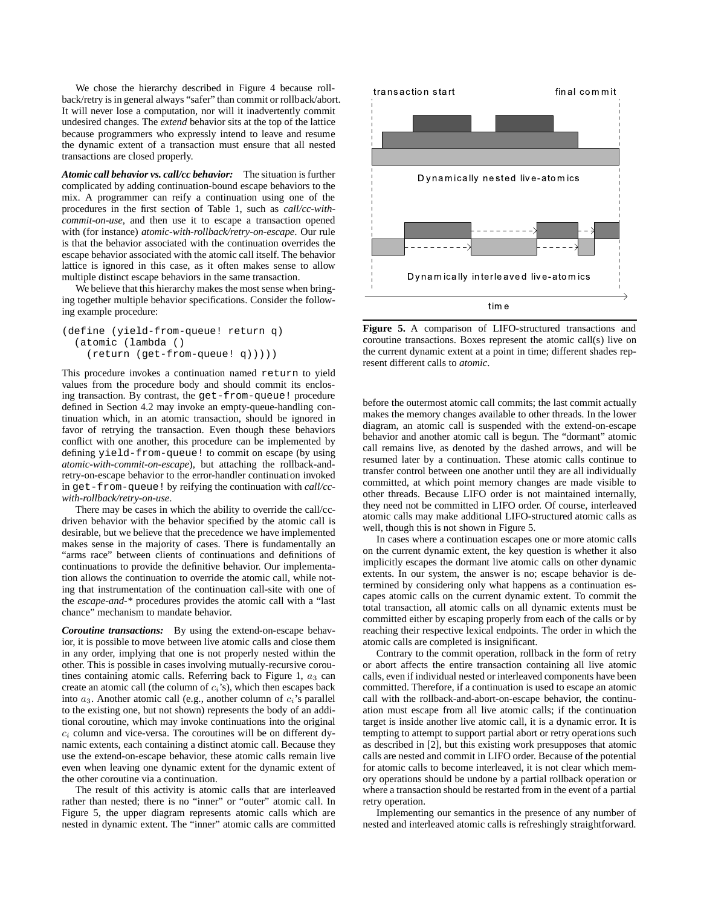We chose the hierarchy described in Figure 4 because rollback/retry is in general always "safer" than commit or rollback/abort. It will never lose a computation, nor will it inadvertently commit undesired changes. The *extend* behavior sits at the top of the lattice because programmers who expressly intend to leave and resume the dynamic extent of a transaction must ensure that all nested transactions are closed properly.

*Atomic call behavior vs. call/cc behavior:* The situation is further complicated by adding continuation-bound escape behaviors to the mix. A programmer can reify a continuation using one of the procedures in the first section of Table 1, such as *call/cc-withcommit-on-use*, and then use it to escape a transaction opened with (for instance) *atomic-with-rollback/retry-on-escape*. Our rule is that the behavior associated with the continuation overrides the escape behavior associated with the atomic call itself. The behavior lattice is ignored in this case, as it often makes sense to allow multiple distinct escape behaviors in the same transaction.

We believe that this hierarchy makes the most sense when bringing together multiple behavior specifications. Consider the following example procedure:

```
(define (yield-from-queue! return q)
  (atomic (lambda ()
   (return (get-from-queue! q)))))
```
This procedure invokes a continuation named return to yield values from the procedure body and should commit its enclosing transaction. By contrast, the get-from-queue! procedure defined in Section 4.2 may invoke an empty-queue-handling continuation which, in an atomic transaction, should be ignored in favor of retrying the transaction. Even though these behaviors conflict with one another, this procedure can be implemented by defining yield-from-queue! to commit on escape (by using *atomic-with-commit-on-escape*), but attaching the rollback-andretry-on-escape behavior to the error-handler continuation invoked in get-from-queue! by reifying the continuation with *call/ccwith-rollback/retry-on-use*.

There may be cases in which the ability to override the call/ccdriven behavior with the behavior specified by the atomic call is desirable, but we believe that the precedence we have implemented makes sense in the majority of cases. There is fundamentally an "arms race" between clients of continuations and definitions of continuations to provide the definitive behavior. Our implementation allows the continuation to override the atomic call, while noting that instrumentation of the continuation call-site with one of the *escape-and-\** procedures provides the atomic call with a "last chance" mechanism to mandate behavior.

*Coroutine transactions:* By using the extend-on-escape behavior, it is possible to move between live atomic calls and close them in any order, implying that one is not properly nested within the other. This is possible in cases involving mutually-recursive coroutines containing atomic calls. Referring back to Figure 1,  $a_3$  can create an atomic call (the column of  $c_i$ 's), which then escapes back into  $a_3$ . Another atomic call (e.g., another column of  $c_i$ 's parallel to the existing one, but not shown) represents the body of an additional coroutine, which may invoke continuations into the original  $c_i$  column and vice-versa. The coroutines will be on different dynamic extents, each containing a distinct atomic call. Because they use the extend-on-escape behavior, these atomic calls remain live even when leaving one dynamic extent for the dynamic extent of the other coroutine via a continuation.

The result of this activity is atomic calls that are interleaved rather than nested; there is no "inner" or "outer" atomic call. In Figure 5, the upper diagram represents atomic calls which are nested in dynamic extent. The "inner" atomic calls are committed



**Figure 5.** A comparison of LIFO-structured transactions and coroutine transactions. Boxes represent the atomic call(s) live on the current dynamic extent at a point in time; different shades represent different calls to *atomic*.

before the outermost atomic call commits; the last commit actually makes the memory changes available to other threads. In the lower diagram, an atomic call is suspended with the extend-on-escape behavior and another atomic call is begun. The "dormant" atomic call remains live, as denoted by the dashed arrows, and will be resumed later by a continuation. These atomic calls continue to transfer control between one another until they are all individually committed, at which point memory changes are made visible to other threads. Because LIFO order is not maintained internally, they need not be committed in LIFO order. Of course, interleaved atomic calls may make additional LIFO-structured atomic calls as well, though this is not shown in Figure 5.

In cases where a continuation escapes one or more atomic calls on the current dynamic extent, the key question is whether it also implicitly escapes the dormant live atomic calls on other dynamic extents. In our system, the answer is no; escape behavior is determined by considering only what happens as a continuation escapes atomic calls on the current dynamic extent. To commit the total transaction, all atomic calls on all dynamic extents must be committed either by escaping properly from each of the calls or by reaching their respective lexical endpoints. The order in which the atomic calls are completed is insignificant.

Contrary to the commit operation, rollback in the form of retry or abort affects the entire transaction containing all live atomic calls, even if individual nested or interleaved components have been committed. Therefore, if a continuation is used to escape an atomic call with the rollback-and-abort-on-escape behavior, the continuation must escape from all live atomic calls; if the continuation target is inside another live atomic call, it is a dynamic error. It is tempting to attempt to support partial abort or retry operations such as described in [2], but this existing work presupposes that atomic calls are nested and commit in LIFO order. Because of the potential for atomic calls to become interleaved, it is not clear which memory operations should be undone by a partial rollback operation or where a transaction should be restarted from in the event of a partial retry operation.

Implementing our semantics in the presence of any number of nested and interleaved atomic calls is refreshingly straightforward.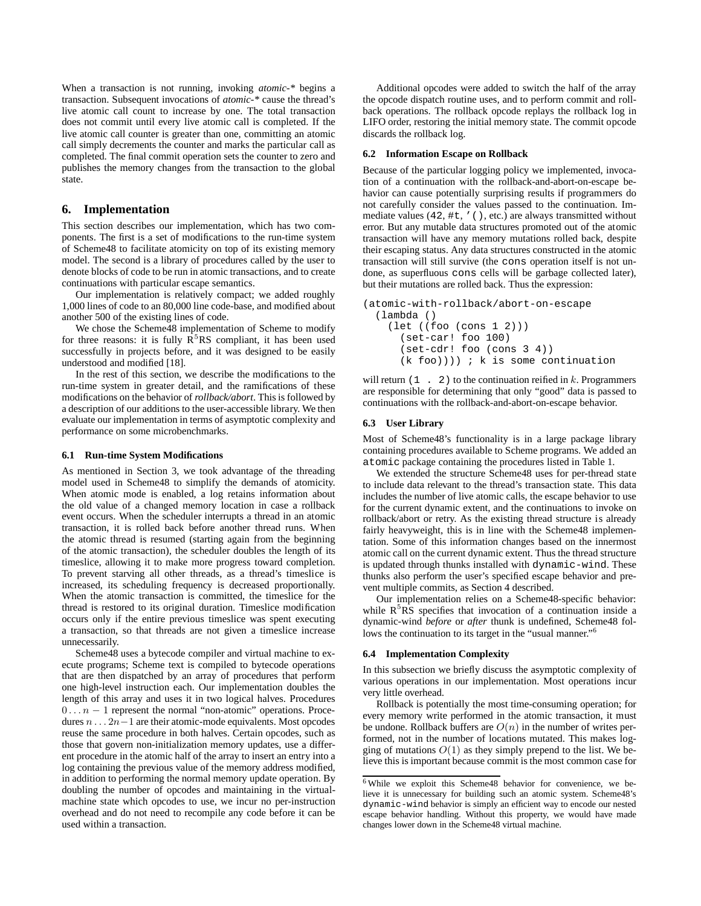When a transaction is not running, invoking *atomic-\** begins a transaction. Subsequent invocations of *atomic-\** cause the thread's live atomic call count to increase by one. The total transaction does not commit until every live atomic call is completed. If the live atomic call counter is greater than one, committing an atomic call simply decrements the counter and marks the particular call as completed. The final commit operation sets the counter to zero and publishes the memory changes from the transaction to the global state.

# **6. Implementation**

This section describes our implementation, which has two components. The first is a set of modifications to the run-time system of Scheme48 to facilitate atomicity on top of its existing memory model. The second is a library of procedures called by the user to denote blocks of code to be run in atomic transactions, and to create continuations with particular escape semantics.

Our implementation is relatively compact; we added roughly 1,000 lines of code to an 80,000 line code-base, and modified about another 500 of the existing lines of code.

We chose the Scheme48 implementation of Scheme to modify for three reasons: it is fully  $R<sup>5</sup>RS$  compliant, it has been used successfully in projects before, and it was designed to be easily understood and modified [18].

In the rest of this section, we describe the modifications to the run-time system in greater detail, and the ramifications of these modifications on the behavior of *rollback/abort*. This is followed by a description of our additions to the user-accessible library. We then evaluate our implementation in terms of asymptotic complexity and performance on some microbenchmarks.

## **6.1 Run-time System Modifications**

As mentioned in Section 3, we took advantage of the threading model used in Scheme48 to simplify the demands of atomicity. When atomic mode is enabled, a log retains information about the old value of a changed memory location in case a rollback event occurs. When the scheduler interrupts a thread in an atomic transaction, it is rolled back before another thread runs. When the atomic thread is resumed (starting again from the beginning of the atomic transaction), the scheduler doubles the length of its timeslice, allowing it to make more progress toward completion. To prevent starving all other threads, as a thread's timeslice is increased, its scheduling frequency is decreased proportionally. When the atomic transaction is committed, the timeslice for the thread is restored to its original duration. Timeslice modification occurs only if the entire previous timeslice was spent executing a transaction, so that threads are not given a timeslice increase unnecessarily.

Scheme48 uses a bytecode compiler and virtual machine to execute programs; Scheme text is compiled to bytecode operations that are then dispatched by an array of procedures that perform one high-level instruction each. Our implementation doubles the length of this array and uses it in two logical halves. Procedures  $0 \ldots n-1$  represent the normal "non-atomic" operations. Procedures  $n \dots 2n-1$  are their atomic-mode equivalents. Most opcodes reuse the same procedure in both halves. Certain opcodes, such as those that govern non-initialization memory updates, use a different procedure in the atomic half of the array to insert an entry into a log containing the previous value of the memory address modified, in addition to performing the normal memory update operation. By doubling the number of opcodes and maintaining in the virtualmachine state which opcodes to use, we incur no per-instruction overhead and do not need to recompile any code before it can be used within a transaction.

Additional opcodes were added to switch the half of the array the opcode dispatch routine uses, and to perform commit and rollback operations. The rollback opcode replays the rollback log in LIFO order, restoring the initial memory state. The commit opcode discards the rollback log.

## **6.2 Information Escape on Rollback**

Because of the particular logging policy we implemented, invocation of a continuation with the rollback-and-abort-on-escape behavior can cause potentially surprising results if programmers do not carefully consider the values passed to the continuation. Immediate values (42, #t, '(), etc.) are always transmitted without error. But any mutable data structures promoted out of the atomic transaction will have any memory mutations rolled back, despite their escaping status. Any data structures constructed in the atomic transaction will still survive (the cons operation itself is not undone, as superfluous cons cells will be garbage collected later), but their mutations are rolled back. Thus the expression:

```
(atomic-with-rollback/abort-on-escape
 (lambda ()
    (let ((foo (cons 1 2)))
      (set-car! foo 100)
      (set-cdr! foo (cons 3 4))
      (k \text{foo}))) ; k is some continuation
```
will return  $(1 \cdot 2)$  to the continuation reified in k. Programmers are responsible for determining that only "good" data is passed to continuations with the rollback-and-abort-on-escape behavior.

#### **6.3 User Library**

Most of Scheme48's functionality is in a large package library containing procedures available to Scheme programs. We added an atomic package containing the procedures listed in Table 1.

We extended the structure Scheme48 uses for per-thread state to include data relevant to the thread's transaction state. This data includes the number of live atomic calls, the escape behavior to use for the current dynamic extent, and the continuations to invoke on rollback/abort or retry. As the existing thread structure is already fairly heavyweight, this is in line with the Scheme48 implementation. Some of this information changes based on the innermost atomic call on the current dynamic extent. Thus the thread structure is updated through thunks installed with dynamic-wind. These thunks also perform the user's specified escape behavior and prevent multiple commits, as Section 4 described.

Our implementation relies on a Scheme48-specific behavior: while  $R<sup>5</sup>R<sub>S</sub>$  specifies that invocation of a continuation inside a dynamic-wind *before* or *after* thunk is undefined, Scheme48 follows the continuation to its target in the "usual manner."<sup>6</sup>

#### **6.4 Implementation Complexity**

In this subsection we briefly discuss the asymptotic complexity of various operations in our implementation. Most operations incur very little overhead.

Rollback is potentially the most time-consuming operation; for every memory write performed in the atomic transaction, it must be undone. Rollback buffers are  $O(n)$  in the number of writes performed, not in the number of locations mutated. This makes logging of mutations  $O(1)$  as they simply prepend to the list. We believe this is important because commit is the most common case for

<sup>6</sup> While we exploit this Scheme48 behavior for convenience, we believe it is unnecessary for building such an atomic system. Scheme48's dynamic-wind behavior is simply an efficient way to encode our nested escape behavior handling. Without this property, we would have made changes lower down in the Scheme48 virtual machine.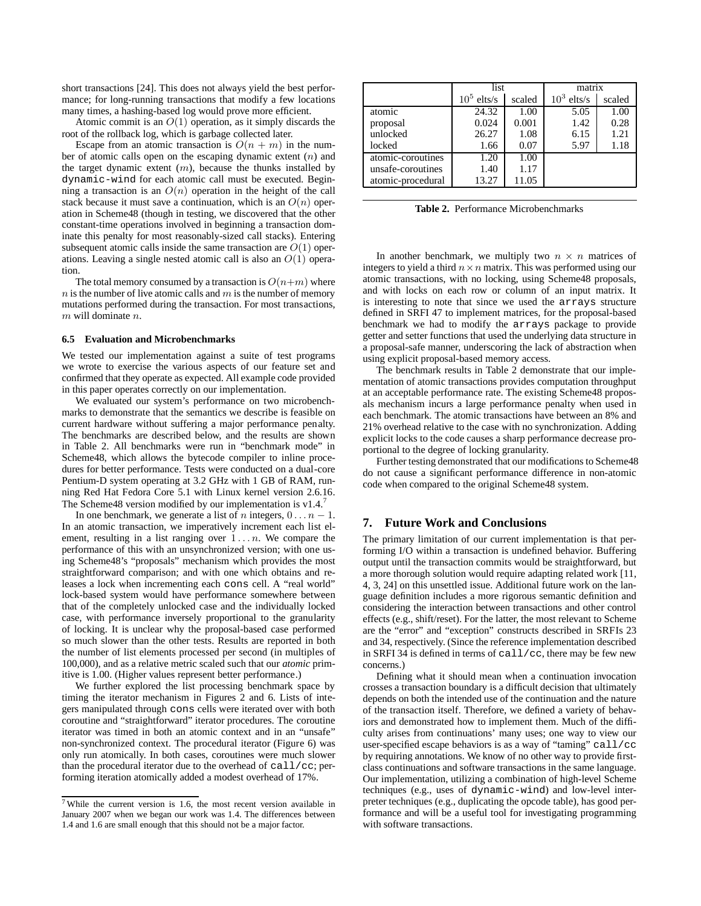short transactions [24]. This does not always yield the best performance; for long-running transactions that modify a few locations many times, a hashing-based log would prove more efficient.

Atomic commit is an  $O(1)$  operation, as it simply discards the root of the rollback log, which is garbage collected later.

Escape from an atomic transaction is  $O(n + m)$  in the number of atomic calls open on the escaping dynamic extent  $(n)$  and the target dynamic extent  $(m)$ , because the thunks installed by dynamic-wind for each atomic call must be executed. Beginning a transaction is an  $O(n)$  operation in the height of the call stack because it must save a continuation, which is an  $O(n)$  operation in Scheme48 (though in testing, we discovered that the other constant-time operations involved in beginning a transaction dominate this penalty for most reasonably-sized call stacks). Entering subsequent atomic calls inside the same transaction are  $O(1)$  operations. Leaving a single nested atomic call is also an  $O(1)$  operation.

The total memory consumed by a transaction is  $O(n+m)$  where  $n$  is the number of live atomic calls and  $m$  is the number of memory mutations performed during the transaction. For most transactions,  $m$  will dominate  $n$ .

#### **6.5 Evaluation and Microbenchmarks**

We tested our implementation against a suite of test programs we wrote to exercise the various aspects of our feature set and confirmed that they operate as expected. All example code provided in this paper operates correctly on our implementation.

We evaluated our system's performance on two microbenchmarks to demonstrate that the semantics we describe is feasible on current hardware without suffering a major performance penalty. The benchmarks are described below, and the results are shown in Table 2. All benchmarks were run in "benchmark mode" in Scheme48, which allows the bytecode compiler to inline procedures for better performance. Tests were conducted on a dual-core Pentium-D system operating at 3.2 GHz with 1 GB of RAM, running Red Hat Fedora Core 5.1 with Linux kernel version 2.6.16. The Scheme48 version modified by our implementation is  $v1.4$ .<sup>7</sup>

In one benchmark, we generate a list of n integers,  $0 \ldots n - 1$ . In an atomic transaction, we imperatively increment each list element, resulting in a list ranging over  $1 \ldots n$ . We compare the performance of this with an unsynchronized version; with one using Scheme48's "proposals" mechanism which provides the most straightforward comparison; and with one which obtains and releases a lock when incrementing each cons cell. A "real world" lock-based system would have performance somewhere between that of the completely unlocked case and the individually locked case, with performance inversely proportional to the granularity of locking. It is unclear why the proposal-based case performed so much slower than the other tests. Results are reported in both the number of list elements processed per second (in multiples of 100,000), and as a relative metric scaled such that our *atomic* primitive is 1.00. (Higher values represent better performance.)

We further explored the list processing benchmark space by timing the iterator mechanism in Figures 2 and 6. Lists of integers manipulated through cons cells were iterated over with both coroutine and "straightforward" iterator procedures. The coroutine iterator was timed in both an atomic context and in an "unsafe" non-synchronized context. The procedural iterator (Figure 6) was only run atomically. In both cases, coroutines were much slower than the procedural iterator due to the overhead of call/cc; performing iteration atomically added a modest overhead of 17%.

|                   | list          |        | matrix        |        |
|-------------------|---------------|--------|---------------|--------|
|                   | $10^5$ elts/s | scaled | $10^3$ elts/s | scaled |
| atomic            | 24.32         | 1.00   | 5.05          | 1.00   |
| proposal          | 0.024         | 0.001  | 1.42          | 0.28   |
| unlocked          | 26.27         | 1.08   | 6.15          | 1.21   |
| locked            | 1.66          | 0.07   | 5.97          | 1.18   |
| atomic-coroutines | 1.20          | 1.00   |               |        |
| unsafe-coroutines | 1.40          | 1.17   |               |        |
| atomic-procedural | 13.27         | 11.05  |               |        |

**Table 2.** Performance Microbenchmarks

In another benchmark, we multiply two  $n \times n$  matrices of integers to yield a third  $n \times n$  matrix. This was performed using our atomic transactions, with no locking, using Scheme48 proposals, and with locks on each row or column of an input matrix. It is interesting to note that since we used the arrays structure defined in SRFI 47 to implement matrices, for the proposal-based benchmark we had to modify the arrays package to provide getter and setter functions that used the underlying data structure in a proposal-safe manner, underscoring the lack of abstraction when using explicit proposal-based memory access.

The benchmark results in Table 2 demonstrate that our implementation of atomic transactions provides computation throughput at an acceptable performance rate. The existing Scheme48 proposals mechanism incurs a large performance penalty when used in each benchmark. The atomic transactions have between an 8% and 21% overhead relative to the case with no synchronization. Adding explicit locks to the code causes a sharp performance decrease proportional to the degree of locking granularity.

Further testing demonstrated that our modifications to Scheme48 do not cause a significant performance difference in non-atomic code when compared to the original Scheme48 system.

# **7. Future Work and Conclusions**

The primary limitation of our current implementation is that performing I/O within a transaction is undefined behavior. Buffering output until the transaction commits would be straightforward, but a more thorough solution would require adapting related work [11, 4, 3, 24] on this unsettled issue. Additional future work on the language definition includes a more rigorous semantic definition and considering the interaction between transactions and other control effects (e.g., shift/reset). For the latter, the most relevant to Scheme are the "error" and "exception" constructs described in SRFIs 23 and 34, respectively. (Since the reference implementation described in SRFI 34 is defined in terms of call/cc, there may be few new concerns.)

Defining what it should mean when a continuation invocation crosses a transaction boundary is a difficult decision that ultimately depends on both the intended use of the continuation and the nature of the transaction itself. Therefore, we defined a variety of behaviors and demonstrated how to implement them. Much of the difficulty arises from continuations' many uses; one way to view our user-specified escape behaviors is as a way of "taming" call/cc by requiring annotations. We know of no other way to provide firstclass continuations and software transactions in the same language. Our implementation, utilizing a combination of high-level Scheme techniques (e.g., uses of dynamic-wind) and low-level interpreter techniques (e.g., duplicating the opcode table), has good performance and will be a useful tool for investigating programming with software transactions.

 $7$  While the current version is 1.6, the most recent version available in January 2007 when we began our work was 1.4. The differences between 1.4 and 1.6 are small enough that this should not be a major factor.